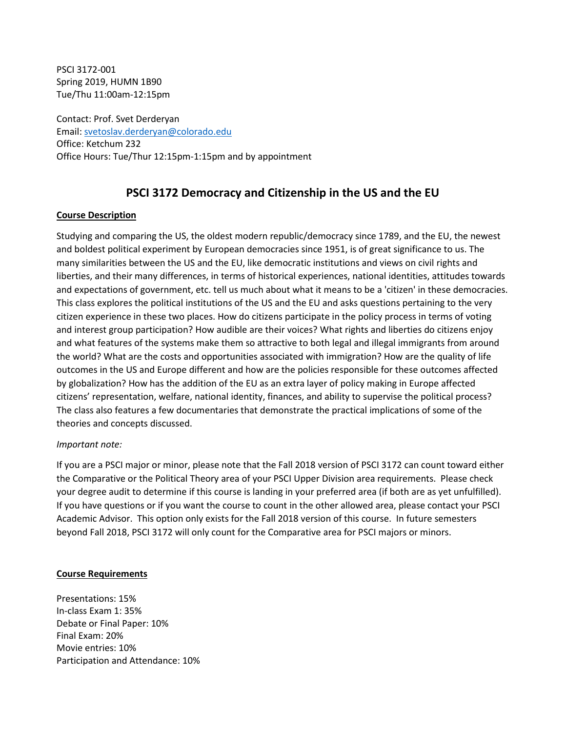PSCI 3172-001 Spring 2019, HUMN 1B90 Tue/Thu 11:00am-12:15pm

Contact: Prof. Svet Derderyan Email: [svetoslav.derderyan@colorado.edu](mailto:svetoslav.derderyan@colorado.edu) Office: Ketchum 232 Office Hours: Tue/Thur 12:15pm-1:15pm and by appointment

## **PSCI 3172 Democracy and Citizenship in the US and the EU**

#### **Course Description**

Studying and comparing the US, the oldest modern republic/democracy since 1789, and the EU, the newest and boldest political experiment by European democracies since 1951, is of great significance to us. The many similarities between the US and the EU, like democratic institutions and views on civil rights and liberties, and their many differences, in terms of historical experiences, national identities, attitudes towards and expectations of government, etc. tell us much about what it means to be а 'citizen' in these democracies. This class explores the political institutions of the US and the EU and asks questions pertaining to the very citizen experience in these two places. How do citizens participate in the policy process in terms of voting and interest group participation? How audible are their voices? What rights and liberties do citizens enjoy and what features of the systems make them so attractive to both legal and illegal immigrants from around the world? What are the costs and opportunities associated with immigration? How are the quality of life outcomes in the US and Europe different and how are the policies responsible for these outcomes affected by globalization? How has the addition of the EU as an extra layer of policy making in Europe affected citizens' representation, welfare, national identity, finances, and ability to supervise the political process? The class also features a few documentaries that demonstrate the practical implications of some of the theories and concepts discussed.

#### *Important note:*

If you are a PSCI major or minor, please note that the Fall 2018 version of PSCI 3172 can count toward either the Comparative or the Political Theory area of your PSCI Upper Division area requirements. Please check your degree audit to determine if this course is landing in your preferred area (if both are as yet unfulfilled). If you have questions or if you want the course to count in the other allowed area, please contact your PSCI Academic Advisor. This option only exists for the Fall 2018 version of this course. In future semesters beyond Fall 2018, PSCI 3172 will only count for the Comparative area for PSCI majors or minors.

#### **Course Requirements**

Presentations: 15% In-class Exam 1: 35% Debate or Final Paper: 10% Final Exam: 20% Movie entries: 10% Participation and Attendance: 10%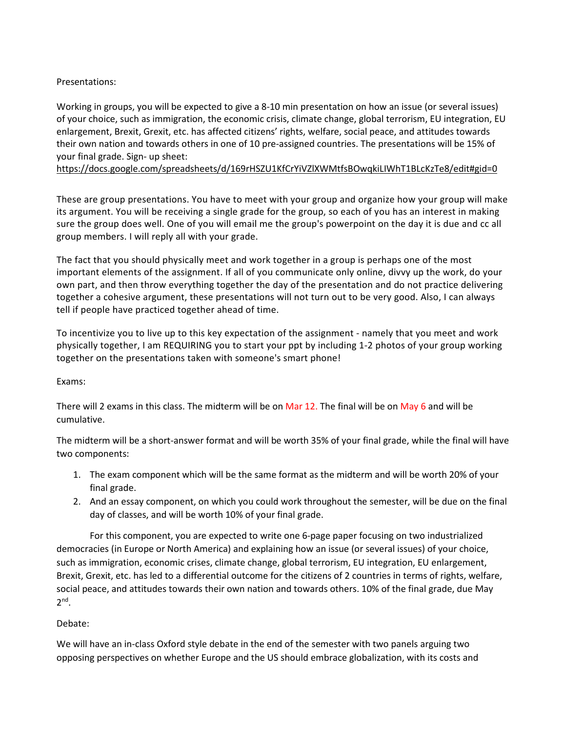### Presentations:

Working in groups, you will be expected to give a 8-10 min presentation on how an issue (or several issues) of your choice, such as immigration, the economic crisis, climate change, global terrorism, EU integration, EU enlargement, Brexit, Grexit, etc. has affected citizens' rights, welfare, social peace, and attitudes towards their own nation and towards others in one of 10 pre-assigned countries. The presentations will be 15% of your final grade. Sign- up sheet:

<https://docs.google.com/spreadsheets/d/169rHSZU1KfCrYiVZlXWMtfsBOwqkiLIWhT1BLcKzTe8/edit#gid=0>

These are group presentations. You have to meet with your group and organize how your group will make its argument. You will be receiving a single grade for the group, so each of you has an interest in making sure the group does well. One of you will email me the group's powerpoint on the day it is due and cc all group members. I will reply all with your grade.

The fact that you should physically meet and work together in a group is perhaps one of the most important elements of the assignment. If all of you communicate only online, divvy up the work, do your own part, and then throw everything together the day of the presentation and do not practice delivering together a cohesive argument, these presentations will not turn out to be very good. Also, I can always tell if people have practiced together ahead of time.

To incentivize you to live up to this key expectation of the assignment - namely that you meet and work physically together, I am REQUIRING you to start your ppt by including 1-2 photos of your group working together on the presentations taken with someone's smart phone!

Exams:

There will 2 exams in this class. The midterm will be on Mar 12. The final will be on May 6 and will be cumulative.

The midterm will be a short-answer format and will be worth 35% of your final grade, while the final will have two components:

- 1. The exam component which will be the same format as the midterm and will be worth 20% of your final grade.
- 2. And an essay component, on which you could work throughout the semester, will be due on the final day of classes, and will be worth 10% of your final grade.

For this component, you are expected to write one 6-page paper focusing on two industrialized democracies (in Europe or North America) and explaining how an issue (or several issues) of your choice, such as immigration, economic crises, climate change, global terrorism, EU integration, EU enlargement, Brexit, Grexit, etc. has led to a differential outcome for the citizens of 2 countries in terms of rights, welfare, social peace, and attitudes towards their own nation and towards others. 10% of the final grade, due May  $2<sup>nd</sup>$ .

### Debate:

We will have an in-class Oxford style debate in the end of the semester with two panels arguing two opposing perspectives on whether Europe and the US should embrace globalization, with its costs and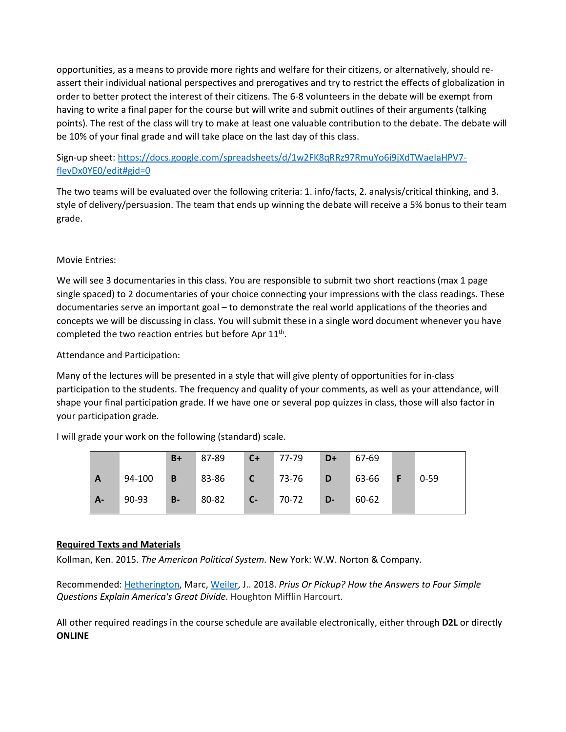opportunities, as a means to provide more rights and welfare for their citizens, or alternatively, should reassert their individual national perspectives and prerogatives and try to restrict the effects of globalization in order to better protect the interest of their citizens. The 6-8 volunteers in the debate will be exempt from having to write a final paper for the course but will write and submit outlines of their arguments (talking points). The rest of the class will try to make at least one valuable contribution to the debate. The debate will be 10% of your final grade and will take place on the last day of this class.

### Sign-up sheet: [https://docs.google.com/spreadsheets/d/1w2FK8qRRz97RmuYo6i9jXdTWaeIaHPV7](https://docs.google.com/spreadsheets/d/1w2FK8qRRz97RmuYo6i9jXdTWaeIaHPV7-flevDx0YE0/edit#gid=0) [flevDx0YE0/edit#gid=0](https://docs.google.com/spreadsheets/d/1w2FK8qRRz97RmuYo6i9jXdTWaeIaHPV7-flevDx0YE0/edit#gid=0)

The two teams will be evaluated over the following criteria: 1. info/facts, 2. analysis/critical thinking, and 3. style of delivery/persuasion. The team that ends up winning the debate will receive a 5% bonus to their team grade.

#### Movie Entries:

We will see 3 documentaries in this class. You are responsible to submit two short reactions (max 1 page single spaced) to 2 documentaries of your choice connecting your impressions with the class readings. These documentaries serve an important goal – to demonstrate the real world applications of the theories and concepts we will be discussing in class. You will submit these in a single word document whenever you have completed the two reaction entries but before Apr  $11<sup>th</sup>$ .

Attendance and Participation:

Many of the lectures will be presented in a style that will give plenty of opportunities for in-class participation to the students. The frequency and quality of your comments, as well as your attendance, will shape your final participation grade. If we have one or several pop quizzes in class, those will also factor in your participation grade.

I will grade your work on the following (standard) scale.

|       |        | $B+$           | 87-89 | $C+$         | 77-79 | $D+$ | 67-69            |          |
|-------|--------|----------------|-------|--------------|-------|------|------------------|----------|
| A     | 94-100 | $\overline{B}$ | 83-86 | $\mathsf{C}$ | 73-76 | D    | 63-66   <b>F</b> | $0 - 59$ |
| $A -$ | 90-93  | $B -$          | 80-82 | $-C-7$       | 70-72 | D-   | 60-62            |          |

#### **Required Texts and Materials**

Kollman, Ken. 2015. *The American Political System.* New York: W.W. Norton & Company.

Recommended: [Hetherington,](https://www.amazon.com/Marc-Hetherington/e/B07JP3V5YL/ref=dp_byline_cont_ebooks_1) Marc, [Weiler,](https://www.amazon.com/s/ref=dp_byline_sr_ebooks_2?ie=UTF8&text=Jonathan+Weiler&search-alias=digital-text&field-author=Jonathan+Weiler&sort=relevancerank) J.. 2018. *Prius Or Pickup? How the Answers to Four Simple Questions Explain America's Great Divide*. Houghton Mifflin Harcourt.

All other required readings in the course schedule are available electronically, either through **D2L** or directly **ONLINE**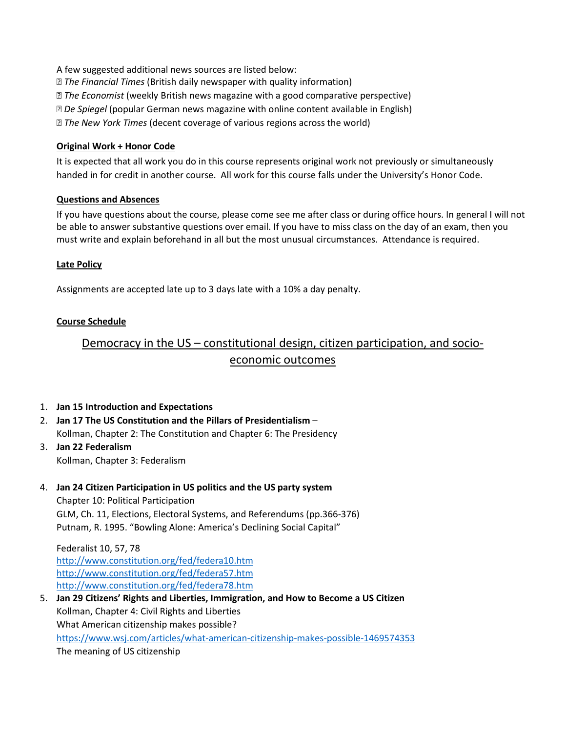A few suggested additional news sources are listed below: *The Financial Times* (British daily newspaper with quality information) *The Economist* (weekly British news magazine with a good comparative perspective) *De Spiegel* (popular German news magazine with online content available in English)

*The New York Times* (decent coverage of various regions across the world)

#### **Original Work + Honor Code**

It is expected that all work you do in this course represents original work not previously or simultaneously handed in for credit in another course. All work for this course falls under the University's Honor Code.

#### **Questions and Absences**

If you have questions about the course, please come see me after class or during office hours. In general I will not be able to answer substantive questions over email. If you have to miss class on the day of an exam, then you must write and explain beforehand in all but the most unusual circumstances. Attendance is required.

#### **Late Policy**

Assignments are accepted late up to 3 days late with a 10% a day penalty.

#### **Course Schedule**

## Democracy in the US – constitutional design, citizen participation, and socioeconomic outcomes

#### 1. **Jan 15 Introduction and Expectations**

- 2. **Jan 17 The US Constitution and the Pillars of Presidentialism** Kollman, Chapter 2: The Constitution and Chapter 6: The Presidency
- 3. **Jan 22 Federalism** Kollman, Chapter 3: Federalism

# 4. **Jan 24 Citizen Participation in US politics and the US party system**

Chapter 10: Political Participation GLM, Ch. 11, Elections, Electoral Systems, and Referendums (pp.366-376) Putnam, R. 1995. "Bowling Alone: America's Declining Social Capital"

Federalist 10, 57, 78 <http://www.constitution.org/fed/federa10.htm> <http://www.constitution.org/fed/federa57.htm> <http://www.constitution.org/fed/federa78.htm>

5. **Jan 29 Citizens' Rights and Liberties, Immigration, and How to Become a US Citizen** Kollman, Chapter 4: Civil Rights and Liberties What American citizenship makes possible? [https://www.wsj.com/articles/what](https://www.wsj.com/articles/what-american-citizenship-makes-possible-1469574353)-american-citizenship-makes-possible-1469574353 The meaning of US citizenship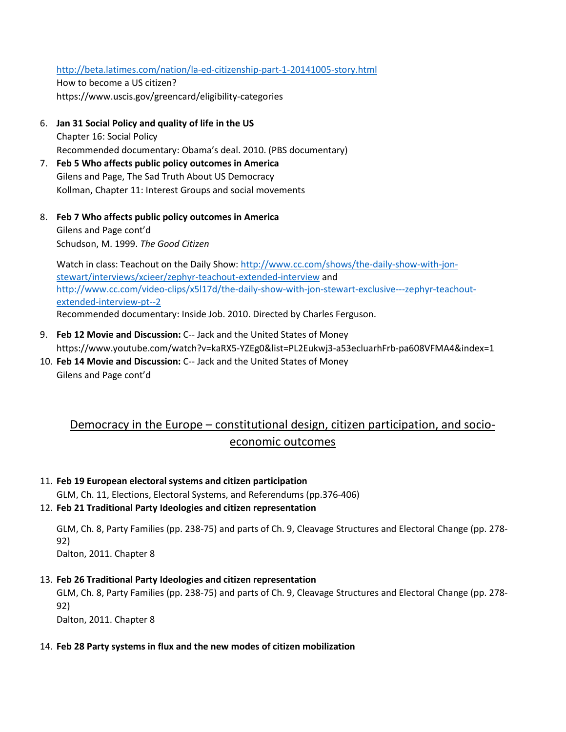### [http://beta.latimes.com/nation/la-ed-](http://beta.latimes.com/nation/la-ed-citizenship-part-1-20141005-story.html)citizenship-part-1-20141005-story.html

How to become a US citizen? https://www.uscis.gov/greencard/eligibility-categories

- 6. **Jan 31 Social Policy and quality of life in the US** Chapter 16: Social Policy Recommended documentary: Obama's deal. 2010. (PBS documentary)
- 7. **Feb 5 Who affects public policy outcomes in America** Gilens and Page, The Sad Truth About US Democracy Kollman, Chapter 11: Interest Groups and social movements
- 8. **Feb 7 Who affects public policy outcomes in America** Gilens and Page cont'd Schudson, M. 1999. *The Good Citizen*

Watch in class: Teachout on the Daily Show: [http://www.cc.com/shows/the-daily-show-with-](http://www.cc.com/shows/the-daily-show-with-jon-stewart/interviews/xcieer/zephyr-teachout-extended-interview)jon[stewart/interviews/xcieer/zephyr](http://www.cc.com/shows/the-daily-show-with-jon-stewart/interviews/xcieer/zephyr-teachout-extended-interview)-teachout-extended-interview and [http://www.cc.com/video-clips/x5l17d/the-daily-show-with-](http://www.cc.com/video-clips/x5l17d/the-daily-show-with-jon-stewart-exclusive---zephyr-teachout-extended-interview-pt--2)jon-stewart-exclusive---zephyr-teachout[extended-interview-pt--2](http://www.cc.com/video-clips/x5l17d/the-daily-show-with-jon-stewart-exclusive---zephyr-teachout-extended-interview-pt--2) Recommended documentary: Inside Job. 2010. Directed by Charles Ferguson.

- 9. **Feb 12 Movie and Discussion:** C-- Jack and the United States of Money https://www.youtube.com/watch?v=kaRX5-YZEg0&list=PL2Eukwj3-a53ecluarhFrb-pa608VFMA4&index=1
- 10. **Feb 14 Movie and Discussion:** C-- Jack and the United States of Money Gilens and Page cont'd

## Democracy in the Europe – constitutional design, citizen participation, and socioeconomic outcomes

#### 11. **Feb 19 European electoral systems and citizen participation**

GLM, Ch. 11, Elections, Electoral Systems, and Referendums (pp.376-406)

### 12. **Feb 21 Traditional Party Ideologies and citizen representation**

GLM, Ch. 8, Party Families (pp. 238-75) and parts of Ch. 9, Cleavage Structures and Electoral Change (pp. 278- 92)

Dalton, 2011. Chapter 8

#### 13. **Feb 26 Traditional Party Ideologies and citizen representation**

GLM, Ch. 8, Party Families (pp. 238-75) and parts of Ch. 9, Cleavage Structures and Electoral Change (pp. 278- 92)

Dalton, 2011. Chapter 8

#### 14. **Feb 28 Party systems in flux and the new modes of citizen mobilization**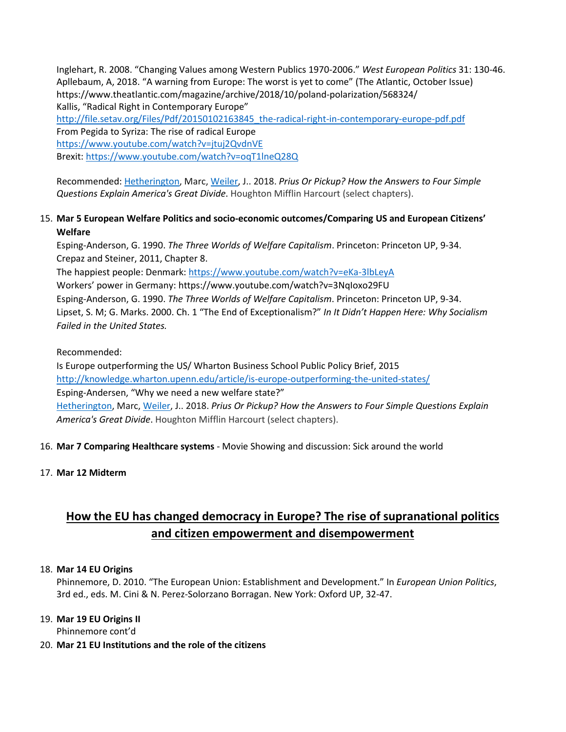Inglehart, R. 2008. "Changing Values among Western Publics 1970-2006." *West European Politics* 31: 130-46. Apllebaum, A, 2018. "A warning from Europe: The worst is yet to come" (The Atlantic, October Issue) https://www.theatlantic.com/magazine/archive/2018/10/poland-polarization/568324/ Kallis, "Radical Right in Contemporary Europe" http://file.setav.org/Files/Pdf/20150102163845\_the[-radical-right-in-contemporary-europe-pdf.pdf](http://file.setav.org/Files/Pdf/20150102163845_the-radical-right-in-contemporary-europe-pdf.pdf) From Pegida to Syriza: The rise of radical Europe <https://www.youtube.com/watch?v=jtuj2QvdnVE>

Brexit: <https://www.youtube.com/watch?v=oqT1lneQ28Q>

Recommended: [Hetherington,](https://www.amazon.com/Marc-Hetherington/e/B07JP3V5YL/ref=dp_byline_cont_ebooks_1) Marc, [Weiler,](https://www.amazon.com/s/ref=dp_byline_sr_ebooks_2?ie=UTF8&text=Jonathan+Weiler&search-alias=digital-text&field-author=Jonathan+Weiler&sort=relevancerank) J.. 2018. *Prius Or Pickup? How the Answers to Four Simple Questions Explain America's Great Divide*. Houghton Mifflin Harcourt (select chapters).

### 15. **Mar 5 European Welfare Politics and socio-economic outcomes/Comparing US and European Citizens' Welfare**

Esping-Anderson, G. 1990. *The Three Worlds of Welfare Capitalism*. Princeton: Princeton UP, 9-34. Crepaz and Steiner, 2011, Chapter 8.

The happiest people: Denmark: [https://www.youtube.com/watch?v=eKa](https://www.youtube.com/watch?v=eKa-3lbLeyA)-3lbLeyA

Workers' power in Germany: https://www.youtube.com/watch?v=3NqIoxo29FU

Esping-Anderson, G. 1990. *The Three Worlds of Welfare Capitalism*. Princeton: Princeton UP, 9-34.

Lipset, S. M; G. Marks. 2000. Ch. 1 "The End of Exceptionalism?" *In It Didn't Happen Here: Why Socialism Failed in the United States.*

Recommended:

Is Europe outperforming the US/ Wharton Business School Public Policy Brief, 2015

<http://knowledge.wharton.upenn.edu/article/is-europe-outperforming-the-united-states/>

Esping-Andersen, "Why we need a new welfare state?"

[Hetherington,](https://www.amazon.com/Marc-Hetherington/e/B07JP3V5YL/ref=dp_byline_cont_ebooks_1) Marc, [Weiler,](https://www.amazon.com/s/ref=dp_byline_sr_ebooks_2?ie=UTF8&text=Jonathan+Weiler&search-alias=digital-text&field-author=Jonathan+Weiler&sort=relevancerank) J.. 2018. *Prius Or Pickup? How the Answers to Four Simple Questions Explain America's Great Divide*. Houghton Mifflin Harcourt (select chapters).

## 16. **Mar 7 Comparing Healthcare systems** - Movie Showing and discussion: Sick around the world

17. **Mar 12 Midterm** 

## **How the EU has changed democracy in Europe? The rise of supranational politics and citizen empowerment and disempowerment**

### 18. **Mar 14 EU Origins**

Phinnemore, D. 2010. "The European Union: Establishment and Development." In *European Union Politics*, 3rd ed., eds. M. Cini & N. Perez-Solorzano Borragan. New York: Oxford UP, 32-47.

## 19. **Mar 19 EU Origins II**

Phinnemore cont'd

### 20. **Mar 21 EU Institutions and the role of the citizens**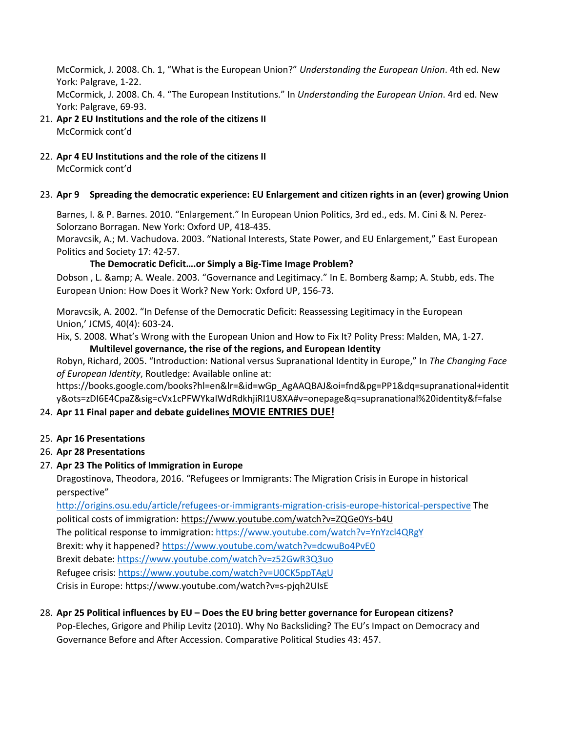McCormick, J. 2008. Ch. 1, "What is the European Union?" *Understanding the European Union*. 4th ed. New York: Palgrave, 1-22.

McCormick, J. 2008. Ch. 4. "The European Institutions." In *Understanding the European Union*. 4rd ed. New York: Palgrave, 69-93.

- 21. **Apr 2 EU Institutions and the role of the citizens II** McCormick cont'd
- 22. **Apr 4 EU Institutions and the role of the citizens II**

McCormick cont'd

## 23. **Apr 9 Spreading the democratic experience: EU Enlargement and citizen rights in an (ever) growing Union**

Barnes, I. & P. Barnes. 2010. "Enlargement." In European Union Politics, 3rd ed., eds. M. Cini & N. Perez-Solorzano Borragan. New York: Oxford UP, 418-435.

Moravcsik, A.; M. Vachudova. 2003. "National Interests, State Power, and EU Enlargement," East European Politics and Society 17: 42-57.

## **The Democratic Deficit….or Simply a Big-Time Image Problem?**

Dobson, L. & amp; A. Weale. 2003. "Governance and Legitimacy." In E. Bomberg & amp; A. Stubb, eds. The European Union: How Does it Work? New York: Oxford UP, 156-73.

Moravcsik, A. 2002. "In Defense of the Democratic Deficit: Reassessing Legitimacy in the European Union,' JCMS, 40(4): 603-24.

Hix, S. 2008. What's Wrong with the European Union and How to Fix It? Polity Press: Malden, MA, 1-27.

**Multilevel governance, the rise of the regions, and European Identity**

Robyn, Richard, 2005. "Introduction: National versus Supranational Identity in Europe," In *The Changing Face of European Identity*, Routledge: Available online at:

https://books.google.com/books?hl=en&lr=&id=wGp\_AgAAQBAJ&oi=fnd&pg=PP1&dq=supranational+identit y&ots=zDI6E4CpaZ&sig=cVx1cPFWYkaIWdRdkhjiRI1U8XA#v=onepage&q=supranational%20identity&f=false

## 24. **Apr 11 Final paper and debate guidelines MOVIE ENTRIES DUE!**

## 25. **Apr 16 Presentations**

## 26. **Apr 28 Presentations**

## 27. **Apr 23 The Politics of Immigration in Europe**

Dragostinova, Theodora, 2016. "Refugees or Immigrants: The Migration Crisis in Europe in historical perspective"

<http://origins.osu.edu/article/refugees-or-immigrants-migration-crisis-europe-historical-perspective> The political costs of immigration: [https://www.youtube.com/watch?v=ZQGe0Ys](https://www.youtube.com/watch?v=ZQGe0Ys-b4U)-b4U The political response to immigration: <https://www.youtube.com/watch?v=YnYzcl4QRgY> Brexit: why it happened? <https://www.youtube.com/watch?v=dcwuBo4PvE0> Brexit debate: <https://www.youtube.com/watch?v=z52GwR3Q3uo> Refugee crisis: <https://www.youtube.com/watch?v=U0CK5ppTAgU> Crisis in Europe: https://www.youtube.com/watch?v=s-pjqh2UIsE

### 28. **Apr 25 Political influences by EU – Does the EU bring better governance for European citizens?** Pop-Eleches, Grigore and Philip Levitz (2010). Why No Backsliding? The EU's Impact on Democracy and Governance Before and After Accession. Comparative Political Studies 43: 457.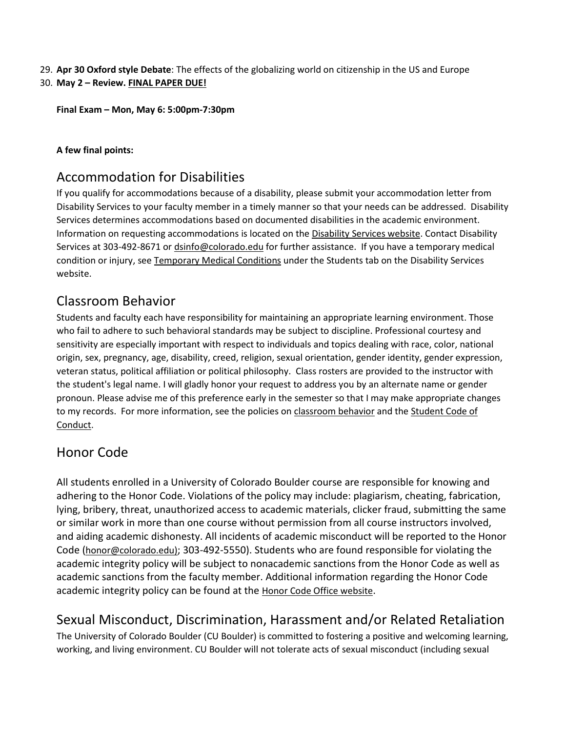29. **Apr 30 Oxford style Debate**: The effects of the globalizing world on citizenship in the US and Europe 30. **May 2 – Review. FINAL PAPER DUE!**

**Final Exam – Mon, May 6: 5:00pm-7:30pm**

### **A few final points:**

## Accommodation for Disabilities

If you qualify for accommodations because of a disability, please submit your accommodation letter from Disability Services to your faculty member in a timely manner so that your needs can be addressed. Disability Services determines accommodations based on documented disabilities in the academic environment. Information on requesting accommodations is located on the [Disability Services website.](http://www.colorado.edu/disabilityservices/students) Contact Disability Services at 303-492-8671 o[r dsinfo@colorado.edu](mailto:dsinfo@colorado.edu) for further assistance. If you have a temporary medical condition or injury, see [Temporary Medical Conditions](http://www.colorado.edu/disabilityservices/students/temporary-medical-conditions) under the Students tab on the Disability Services website.

# Classroom Behavior

Students and faculty each have responsibility for maintaining an appropriate learning environment. Those who fail to adhere to such behavioral standards may be subject to discipline. Professional courtesy and sensitivity are especially important with respect to individuals and topics dealing with race, color, national origin, sex, pregnancy, age, disability, creed, religion, sexual orientation, gender identity, gender expression, veteran status, political affiliation or political philosophy. Class rosters are provided to the instructor with the student's legal name. I will gladly honor your request to address you by an alternate name or gender pronoun. Please advise me of this preference early in the semester so that I may make appropriate changes to my records. For more information, see the policies on [classroom behavior](http://www.colorado.edu/policies/student-classroom-and-course-related-behavior) and th[e Student Code of](http://www.colorado.edu/osccr/)  [Conduct.](http://www.colorado.edu/osccr/)

## Honor Code

All students enrolled in a University of Colorado Boulder course are responsible for knowing and adhering to the Honor Code. Violations of the policy may include: plagiarism, cheating, fabrication, lying, bribery, threat, unauthorized access to academic materials, clicker fraud, submitting the same or similar work in more than one course without permission from all course instructors involved, and aiding academic dishonesty. All incidents of academic misconduct will be reported to the Honor Code [\(honor@colorado.edu\)](mailto:honor@colorado.edu); 303-492-5550). Students who are found responsible for violating the academic integrity policy will be subject to nonacademic sanctions from the Honor Code as well as academic sanctions from the faculty member. Additional information regarding the Honor Code academic integrity policy can be found at the [Honor Code Office website.](https://www.colorado.edu/osccr/honor-code)

# Sexual Misconduct, Discrimination, Harassment and/or Related Retaliation

The University of Colorado Boulder (CU Boulder) is committed to fostering a positive and welcoming learning, working, and living environment. CU Boulder will not tolerate acts of sexual misconduct (including sexual